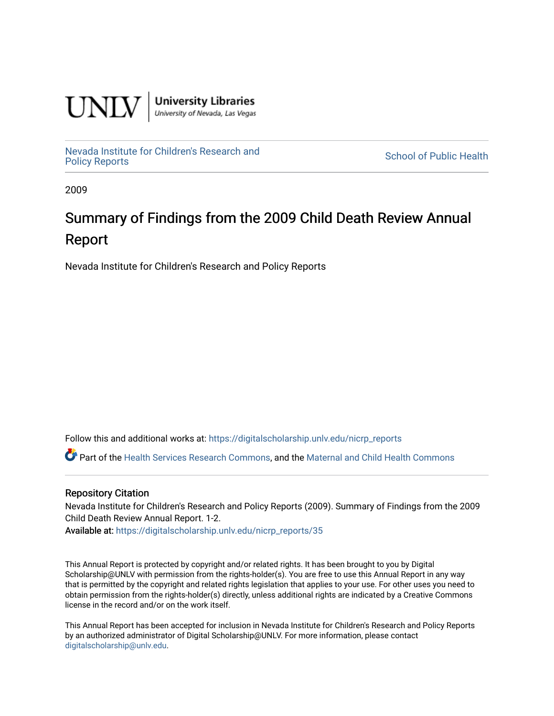

**University Libraries**<br>University of Nevada, Las Vegas

[Nevada Institute for Children's Research and](https://digitalscholarship.unlv.edu/nicrp_reports)

**School of Public Health** 

2009

# Summary of Findings from the 2009 Child Death Review Annual Report

Nevada Institute for Children's Research and Policy Reports

Follow this and additional works at: [https://digitalscholarship.unlv.edu/nicrp\\_reports](https://digitalscholarship.unlv.edu/nicrp_reports?utm_source=digitalscholarship.unlv.edu%2Fnicrp_reports%2F35&utm_medium=PDF&utm_campaign=PDFCoverPages)

Part of the [Health Services Research Commons,](http://network.bepress.com/hgg/discipline/816?utm_source=digitalscholarship.unlv.edu%2Fnicrp_reports%2F35&utm_medium=PDF&utm_campaign=PDFCoverPages) and the [Maternal and Child Health Commons](http://network.bepress.com/hgg/discipline/745?utm_source=digitalscholarship.unlv.edu%2Fnicrp_reports%2F35&utm_medium=PDF&utm_campaign=PDFCoverPages) 

#### Repository Citation

Nevada Institute for Children's Research and Policy Reports (2009). Summary of Findings from the 2009 Child Death Review Annual Report. 1-2.

Available at: [https://digitalscholarship.unlv.edu/nicrp\\_reports/35](https://digitalscholarship.unlv.edu/nicrp_reports/35) 

This Annual Report is protected by copyright and/or related rights. It has been brought to you by Digital Scholarship@UNLV with permission from the rights-holder(s). You are free to use this Annual Report in any way that is permitted by the copyright and related rights legislation that applies to your use. For other uses you need to obtain permission from the rights-holder(s) directly, unless additional rights are indicated by a Creative Commons license in the record and/or on the work itself.

This Annual Report has been accepted for inclusion in Nevada Institute for Children's Research and Policy Reports by an authorized administrator of Digital Scholarship@UNLV. For more information, please contact [digitalscholarship@unlv.edu](mailto:digitalscholarship@unlv.edu).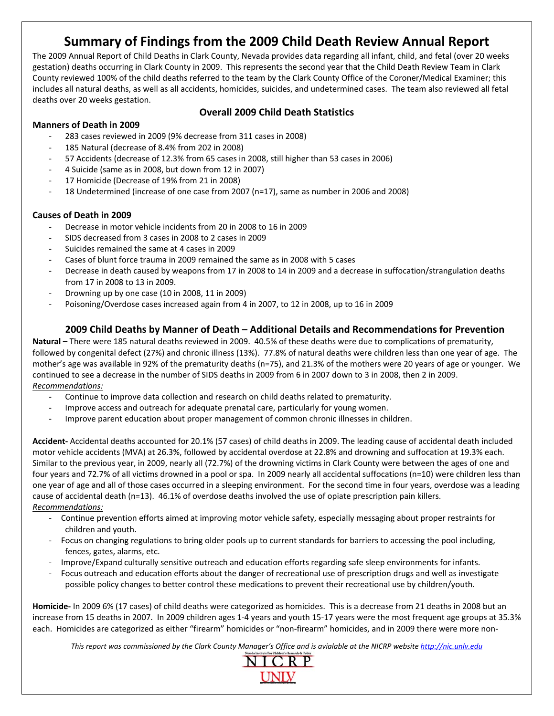# **Summary of Findings from the 2009 Child Death Review Annual Report**

The 2009 Annual Report of Child Deaths in Clark County, Nevada provides data regarding all infant, child, and fetal (over 20 weeks gestation) deaths occurring in Clark County in 2009. This represents the second year that the Child Death Review Team in Clark County reviewed 100% of the child deaths referred to the team by the Clark County Office of the Coroner/Medical Examiner; this includes all natural deaths, as well as all accidents, homicides, suicides, and undetermined cases. The team also reviewed all fetal deaths over 20 weeks gestation.

#### **Overall 2009 Child Death Statistics**

#### **Manners of Death in 2009**

- ‐ 283 cases reviewed in 2009 (9% decrease from 311 cases in 2008)
- ‐ 185 Natural (decrease of 8.4% from 202 in 2008)
- ‐ 57 Accidents (decrease of 12.3% from 65 cases in 2008, still higher than 53 cases in 2006)
- ‐ 4 Suicide (same as in 2008, but down from 12 in 2007)
- ‐ 17 Homicide (Decrease of 19% from 21 in 2008)
- ‐ 18 Undetermined (increase of one case from 2007 (n=17), same as number in 2006 and 2008)

#### **Causes of Death in 2009**

- ‐ Decrease in motor vehicle incidents from 20 in 2008 to 16 in 2009
- ‐ SIDS decreased from 3 cases in 2008 to 2 cases in 2009
- ‐ Suicides remained the same at 4 cases in 2009
- ‐ Cases of blunt force trauma in 2009 remained the same as in 2008 with 5 cases
- ‐ Decrease in death caused by weapons from 17 in 2008 to 14 in 2009 and a decrease in suffocation/strangulation deaths from 17 in 2008 to 13 in 2009.
- ‐ Drowning up by one case (10 in 2008, 11 in 2009)
- ‐ Poisoning/Overdose cases increased again from 4 in 2007, to 12 in 2008, up to 16 in 2009

#### **2009 Child Deaths by Manner of Death – Additional Details and Recommendations for Prevention**

**Natural –** There were 185 natural deaths reviewed in 2009. 40.5% of these deaths were due to complications of prematurity, followed by congenital defect (27%) and chronic illness (13%). 77.8% of natural deaths were children less than one year of age. The mother's age was available in 92% of the prematurity deaths (n=75), and 21.3% of the mothers were 20 years of age or younger. We continued to see a decrease in the number of SIDS deaths in 2009 from 6 in 2007 down to 3 in 2008, then 2 in 2009. *Recommendations:*

- ‐ Continue to improve data collection and research on child deaths related to prematurity.
- Improve access and outreach for adequate prenatal care, particularly for young women.
- ‐ Improve parent education about proper management of common chronic illnesses in children.

**Accident‐** Accidental deaths accounted for 20.1% (57 cases) of child deaths in 2009. The leading cause of accidental death included motor vehicle accidents (MVA) at 26.3%, followed by accidental overdose at 22.8% and drowning and suffocation at 19.3% each. Similar to the previous year, in 2009, nearly all (72.7%) of the drowning victims in Clark County were between the ages of one and four years and 72.7% of all victims drowned in a pool or spa. In 2009 nearly all accidental suffocations (n=10) were children less than one year of age and all of those cases occurred in a sleeping environment. For the second time in four years, overdose was a leading cause of accidental death (n=13). 46.1% of overdose deaths involved the use of opiate prescription pain killers. *Recommendations:*

- ‐ Continue prevention efforts aimed at improving motor vehicle safety, especially messaging about proper restraints for children and youth.
- ‐ Focus on changing regulations to bring older pools up to current standards for barriers to accessing the pool including, fences, gates, alarms, etc.
- ‐ Improve/Expand culturally sensitive outreach and education efforts regarding safe sleep environments for infants.
- ‐ Focus outreach and education efforts about the danger of recreational use of prescription drugs and well as investigate possible policy changes to better control these medications to prevent their recreational use by children/youth.

**Homicide‐** In 2009 6% (17 cases) of child deaths were categorized as homicides. This is a decrease from 21 deaths in 2008 but an increase from 15 deaths in 2007. In 2009 children ages 1‐4 years and youth 15‐17 years were the most frequent age groups at 35.3% each. Homicides are categorized as either "firearm" homicides or "non-firearm" homicides, and in 2009 there were more non-

This report was commissioned by the Clark County Manager's Office and is avialable at the NICRP website http://nic.unlv.edu